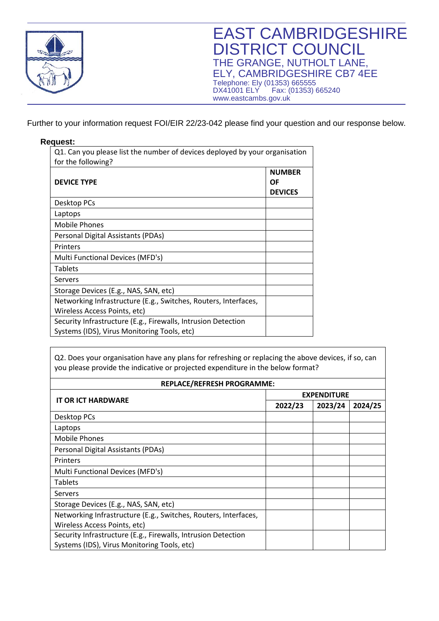

Further to your information request FOI/EIR 22/23-042 please find your question and our response below.

## **Request:**

| Q1. Can you please list the number of devices deployed by your organisation |                |  |
|-----------------------------------------------------------------------------|----------------|--|
| for the following?                                                          |                |  |
|                                                                             | <b>NUMBER</b>  |  |
| <b>DEVICE TYPE</b>                                                          | ΟF             |  |
|                                                                             | <b>DEVICES</b> |  |
| Desktop PCs                                                                 |                |  |
| Laptops                                                                     |                |  |
| <b>Mobile Phones</b>                                                        |                |  |
| Personal Digital Assistants (PDAs)                                          |                |  |
| Printers                                                                    |                |  |
| Multi Functional Devices (MFD's)                                            |                |  |
| <b>Tablets</b>                                                              |                |  |
| Servers                                                                     |                |  |
| Storage Devices (E.g., NAS, SAN, etc)                                       |                |  |
| Networking Infrastructure (E.g., Switches, Routers, Interfaces,             |                |  |
| Wireless Access Points, etc)                                                |                |  |
| Security Infrastructure (E.g., Firewalls, Intrusion Detection               |                |  |
| Systems (IDS), Virus Monitoring Tools, etc)                                 |                |  |

Q2. Does your organisation have any plans for refreshing or replacing the above devices, if so, can you please provide the indicative or projected expenditure in the below format?

| <b>REPLACE/REFRESH PROGRAMME:</b>                               |                    |         |         |
|-----------------------------------------------------------------|--------------------|---------|---------|
| <b>IT OR ICT HARDWARE</b>                                       | <b>EXPENDITURE</b> |         |         |
|                                                                 | 2022/23            | 2023/24 | 2024/25 |
| Desktop PCs                                                     |                    |         |         |
| Laptops                                                         |                    |         |         |
| <b>Mobile Phones</b>                                            |                    |         |         |
| Personal Digital Assistants (PDAs)                              |                    |         |         |
| Printers                                                        |                    |         |         |
| Multi Functional Devices (MFD's)                                |                    |         |         |
| <b>Tablets</b>                                                  |                    |         |         |
| Servers                                                         |                    |         |         |
| Storage Devices (E.g., NAS, SAN, etc)                           |                    |         |         |
| Networking Infrastructure (E.g., Switches, Routers, Interfaces, |                    |         |         |
| Wireless Access Points, etc)                                    |                    |         |         |
| Security Infrastructure (E.g., Firewalls, Intrusion Detection   |                    |         |         |
| Systems (IDS), Virus Monitoring Tools, etc)                     |                    |         |         |